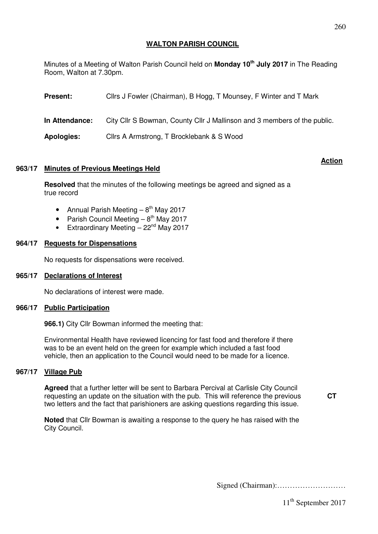# **WALTON PARISH COUNCIL**

Minutes of a Meeting of Walton Parish Council held on **Monday 10th July 2017** in The Reading Room, Walton at 7.30pm.

| <b>Present:</b>   | Cllrs J Fowler (Chairman), B Hogg, T Mounsey, F Winter and T Mark        |
|-------------------|--------------------------------------------------------------------------|
| In Attendance:    | City Cllr S Bowman, County Cllr J Mallinson and 3 members of the public. |
| <b>Apologies:</b> | Cllrs A Armstrong, T Brocklebank & S Wood                                |

## **963/17 Minutes of Previous Meetings Held**

**Resolved** that the minutes of the following meetings be agreed and signed as a true record

 **Action**

- Annual Parish Meeting  $-8^{th}$  May 2017
- Parish Council Meeting  $-8^{th}$  May 2017
- Extraordinary Meeting  $-22<sup>nd</sup>$  May 2017

### **964/17 Requests for Dispensations**

No requests for dispensations were received.

### **965/17 Declarations of Interest**

No declarations of interest were made.

### **966/17 Public Participation**

**966.1)** City Cllr Bowman informed the meeting that:

Environmental Health have reviewed licencing for fast food and therefore if there was to be an event held on the green for example which included a fast food vehicle, then an application to the Council would need to be made for a licence.

### **967/17 Village Pub**

**Agreed** that a further letter will be sent to Barbara Percival at Carlisle City Council requesting an update on the situation with the pub. This will reference the previous two letters and the fact that parishioners are asking questions regarding this issue.

**CT** 

**Noted** that Cllr Bowman is awaiting a response to the query he has raised with the City Council.

Signed (Chairman):………………………

260

11<sup>th</sup> September 2017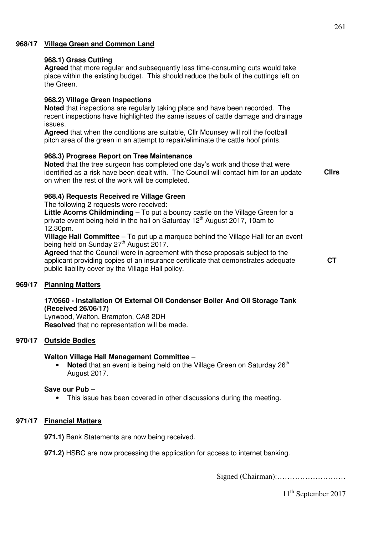# **968/17 Village Green and Common Land**

## **968.1) Grass Cutting**

**Agreed** that more regular and subsequently less time-consuming cuts would take place within the existing budget. This should reduce the bulk of the cuttings left on the Green.

## **968.2) Village Green Inspections**

**Noted** that inspections are regularly taking place and have been recorded. The recent inspections have highlighted the same issues of cattle damage and drainage issues.

**Agreed** that when the conditions are suitable, Cllr Mounsey will roll the football pitch area of the green in an attempt to repair/eliminate the cattle hoof prints.

## **968.3) Progress Report on Tree Maintenance**

**Noted** that the tree surgeon has completed one day's work and those that were identified as a risk have been dealt with. The Council will contact him for an update on when the rest of the work will be completed.

**Cllrs** 

## **968.4) Requests Received re Village Green**

The following 2 requests were received:

**Little Acorns Childminding** – To put a bouncy castle on the Village Green for a private event being held in the hall on Saturday  $12<sup>th</sup>$  August 2017, 10am to 12.30pm.

**Village Hall Committee** – To put up a marquee behind the Village Hall for an event being held on Sunday 27<sup>th</sup> August 2017.

**Agreed** that the Council were in agreement with these proposals subject to the applicant providing copies of an insurance certificate that demonstrates adequate public liability cover by the Village Hall policy.

**CT** 

### **969/17 Planning Matters**

## **17/0560 - Installation Of External Oil Condenser Boiler And Oil Storage Tank (Received 26/06/17)**

Lynwood, Walton, Brampton, CA8 2DH **Resolved** that no representation will be made.

## **970/17 Outside Bodies**

### **Walton Village Hall Management Committee** –

• **Noted** that an event is being held on the Village Green on Saturday 26<sup>th</sup> August 2017.

### **Save our Pub** –

• This issue has been covered in other discussions during the meeting.

### **971/17 Financial Matters**

**971.1)** Bank Statements are now being received.

**971.2)** HSBC are now processing the application for access to internet banking.

Signed (Chairman):………………………

11<sup>th</sup> September 2017